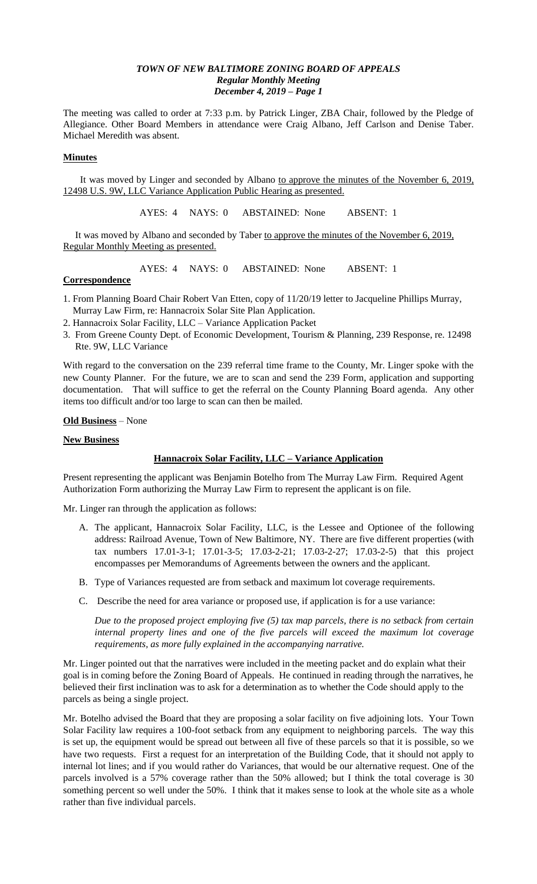The meeting was called to order at 7:33 p.m. by Patrick Linger, ZBA Chair, followed by the Pledge of Allegiance. Other Board Members in attendance were Craig Albano, Jeff Carlson and Denise Taber. Michael Meredith was absent.

### **Minutes**

It was moved by Linger and seconded by Albano to approve the minutes of the November 6, 2019, 12498 U.S. 9W, LLC Variance Application Public Hearing as presented.

AYES: 4 NAYS: 0 ABSTAINED: None ABSENT: 1

It was moved by Albano and seconded by Taber to approve the minutes of the November 6, 2019, Regular Monthly Meeting as presented.

AYES: 4 NAYS: 0 ABSTAINED: None ABSENT: 1

## **Correspondence**

- 1. From Planning Board Chair Robert Van Etten, copy of 11/20/19 letter to Jacqueline Phillips Murray, Murray Law Firm, re: Hannacroix Solar Site Plan Application.
- 2. Hannacroix Solar Facility, LLC Variance Application Packet
- 3. From Greene County Dept. of Economic Development, Tourism & Planning, 239 Response, re. 12498 Rte. 9W, LLC Variance

With regard to the conversation on the 239 referral time frame to the County, Mr. Linger spoke with the new County Planner. For the future, we are to scan and send the 239 Form, application and supporting documentation. That will suffice to get the referral on the County Planning Board agenda. Any other items too difficult and/or too large to scan can then be mailed.

# **Old Business** – None

## **New Business**

# **Hannacroix Solar Facility, LLC – Variance Application**

Present representing the applicant was Benjamin Botelho from The Murray Law Firm. Required Agent Authorization Form authorizing the Murray Law Firm to represent the applicant is on file.

Mr. Linger ran through the application as follows:

- A. The applicant, Hannacroix Solar Facility, LLC, is the Lessee and Optionee of the following address: Railroad Avenue, Town of New Baltimore, NY. There are five different properties (with tax numbers 17.01-3-1; 17.01-3-5; 17.03-2-21; 17.03-2-27; 17.03-2-5) that this project encompasses per Memorandums of Agreements between the owners and the applicant.
- B. Type of Variances requested are from setback and maximum lot coverage requirements.
- C. Describe the need for area variance or proposed use, if application is for a use variance:

*Due to the proposed project employing five (5) tax map parcels, there is no setback from certain internal property lines and one of the five parcels will exceed the maximum lot coverage requirements, as more fully explained in the accompanying narrative.*

Mr. Linger pointed out that the narratives were included in the meeting packet and do explain what their goal is in coming before the Zoning Board of Appeals. He continued in reading through the narratives, he believed their first inclination was to ask for a determination as to whether the Code should apply to the parcels as being a single project.

Mr. Botelho advised the Board that they are proposing a solar facility on five adjoining lots. Your Town Solar Facility law requires a 100-foot setback from any equipment to neighboring parcels. The way this is set up, the equipment would be spread out between all five of these parcels so that it is possible, so we have two requests. First a request for an interpretation of the Building Code, that it should not apply to internal lot lines; and if you would rather do Variances, that would be our alternative request. One of the parcels involved is a 57% coverage rather than the 50% allowed; but I think the total coverage is 30 something percent so well under the 50%. I think that it makes sense to look at the whole site as a whole rather than five individual parcels.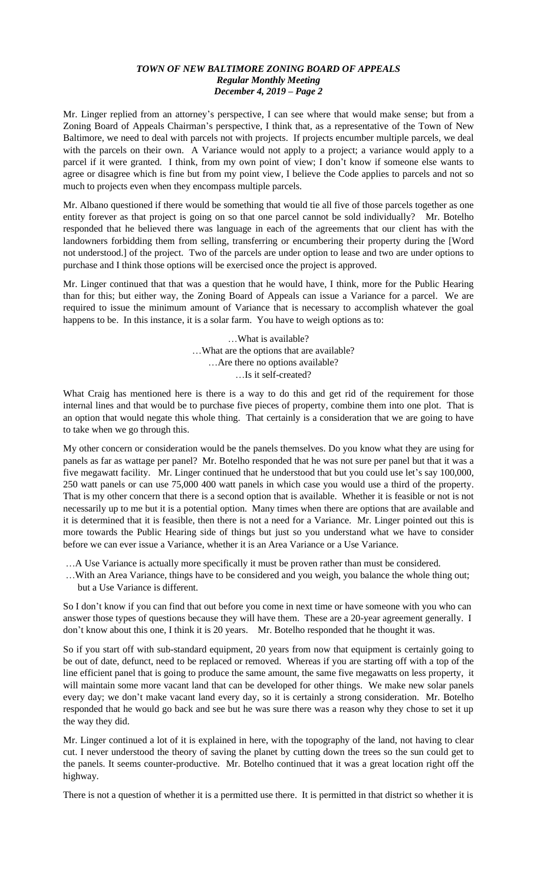Mr. Linger replied from an attorney's perspective, I can see where that would make sense; but from a Zoning Board of Appeals Chairman's perspective, I think that, as a representative of the Town of New Baltimore, we need to deal with parcels not with projects. If projects encumber multiple parcels, we deal with the parcels on their own. A Variance would not apply to a project; a variance would apply to a parcel if it were granted. I think, from my own point of view; I don't know if someone else wants to agree or disagree which is fine but from my point view, I believe the Code applies to parcels and not so much to projects even when they encompass multiple parcels.

Mr. Albano questioned if there would be something that would tie all five of those parcels together as one entity forever as that project is going on so that one parcel cannot be sold individually? Mr. Botelho responded that he believed there was language in each of the agreements that our client has with the landowners forbidding them from selling, transferring or encumbering their property during the [Word not understood.] of the project. Two of the parcels are under option to lease and two are under options to purchase and I think those options will be exercised once the project is approved.

Mr. Linger continued that that was a question that he would have, I think, more for the Public Hearing than for this; but either way, the Zoning Board of Appeals can issue a Variance for a parcel. We are required to issue the minimum amount of Variance that is necessary to accomplish whatever the goal happens to be. In this instance, it is a solar farm. You have to weigh options as to:

> …What is available? …What are the options that are available? …Are there no options available? …Is it self-created?

What Craig has mentioned here is there is a way to do this and get rid of the requirement for those internal lines and that would be to purchase five pieces of property, combine them into one plot. That is an option that would negate this whole thing. That certainly is a consideration that we are going to have to take when we go through this.

My other concern or consideration would be the panels themselves. Do you know what they are using for panels as far as wattage per panel? Mr. Botelho responded that he was not sure per panel but that it was a five megawatt facility. Mr. Linger continued that he understood that but you could use let's say 100,000, 250 watt panels or can use 75,000 400 watt panels in which case you would use a third of the property. That is my other concern that there is a second option that is available. Whether it is feasible or not is not necessarily up to me but it is a potential option. Many times when there are options that are available and it is determined that it is feasible, then there is not a need for a Variance. Mr. Linger pointed out this is more towards the Public Hearing side of things but just so you understand what we have to consider before we can ever issue a Variance, whether it is an Area Variance or a Use Variance.

…A Use Variance is actually more specifically it must be proven rather than must be considered.

…With an Area Variance, things have to be considered and you weigh, you balance the whole thing out; but a Use Variance is different.

So I don't know if you can find that out before you come in next time or have someone with you who can answer those types of questions because they will have them. These are a 20-year agreement generally. I don't know about this one, I think it is 20 years. Mr. Botelho responded that he thought it was.

So if you start off with sub-standard equipment, 20 years from now that equipment is certainly going to be out of date, defunct, need to be replaced or removed. Whereas if you are starting off with a top of the line efficient panel that is going to produce the same amount, the same five megawatts on less property, it will maintain some more vacant land that can be developed for other things. We make new solar panels every day; we don't make vacant land every day, so it is certainly a strong consideration. Mr. Botelho responded that he would go back and see but he was sure there was a reason why they chose to set it up the way they did.

Mr. Linger continued a lot of it is explained in here, with the topography of the land, not having to clear cut. I never understood the theory of saving the planet by cutting down the trees so the sun could get to the panels. It seems counter-productive. Mr. Botelho continued that it was a great location right off the highway.

There is not a question of whether it is a permitted use there. It is permitted in that district so whether it is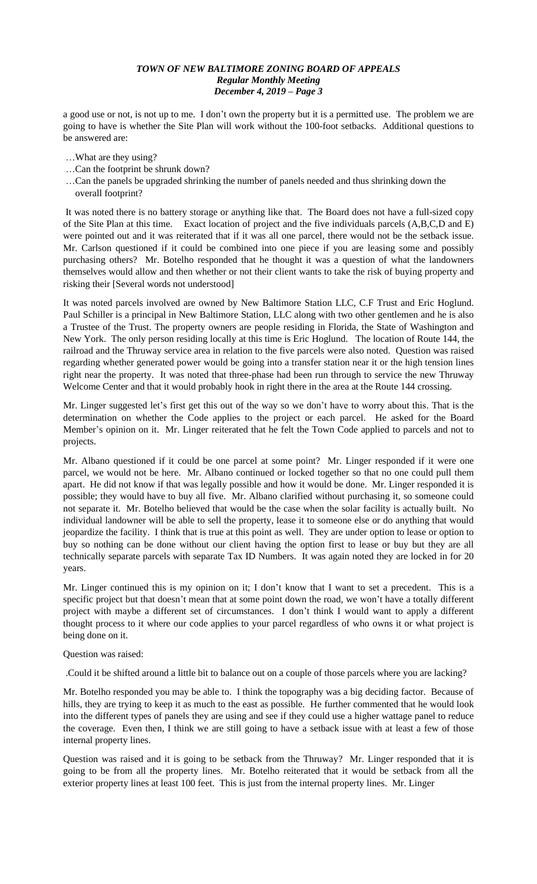a good use or not, is not up to me. I don't own the property but it is a permitted use. The problem we are going to have is whether the Site Plan will work without the 100-foot setbacks. Additional questions to be answered are:

- …What are they using?
- …Can the footprint be shrunk down?
- …Can the panels be upgraded shrinking the number of panels needed and thus shrinking down the overall footprint?

It was noted there is no battery storage or anything like that. The Board does not have a full-sized copy of the Site Plan at this time. Exact location of project and the five individuals parcels (A,B,C,D and E) were pointed out and it was reiterated that if it was all one parcel, there would not be the setback issue. Mr. Carlson questioned if it could be combined into one piece if you are leasing some and possibly purchasing others? Mr. Botelho responded that he thought it was a question of what the landowners themselves would allow and then whether or not their client wants to take the risk of buying property and risking their [Several words not understood]

It was noted parcels involved are owned by New Baltimore Station LLC, C.F Trust and Eric Hoglund. Paul Schiller is a principal in New Baltimore Station, LLC along with two other gentlemen and he is also a Trustee of the Trust. The property owners are people residing in Florida, the State of Washington and New York. The only person residing locally at this time is Eric Hoglund. The location of Route 144, the railroad and the Thruway service area in relation to the five parcels were also noted. Question was raised regarding whether generated power would be going into a transfer station near it or the high tension lines right near the property. It was noted that three-phase had been run through to service the new Thruway Welcome Center and that it would probably hook in right there in the area at the Route 144 crossing.

Mr. Linger suggested let's first get this out of the way so we don't have to worry about this. That is the determination on whether the Code applies to the project or each parcel. He asked for the Board Member's opinion on it. Mr. Linger reiterated that he felt the Town Code applied to parcels and not to projects.

Mr. Albano questioned if it could be one parcel at some point? Mr. Linger responded if it were one parcel, we would not be here. Mr. Albano continued or locked together so that no one could pull them apart. He did not know if that was legally possible and how it would be done. Mr. Linger responded it is possible; they would have to buy all five. Mr. Albano clarified without purchasing it, so someone could not separate it. Mr. Botelho believed that would be the case when the solar facility is actually built. No individual landowner will be able to sell the property, lease it to someone else or do anything that would jeopardize the facility. I think that is true at this point as well. They are under option to lease or option to buy so nothing can be done without our client having the option first to lease or buy but they are all technically separate parcels with separate Tax ID Numbers. It was again noted they are locked in for 20 years.

Mr. Linger continued this is my opinion on it; I don't know that I want to set a precedent. This is a specific project but that doesn't mean that at some point down the road, we won't have a totally different project with maybe a different set of circumstances. I don't think I would want to apply a different thought process to it where our code applies to your parcel regardless of who owns it or what project is being done on it.

## Question was raised:

.Could it be shifted around a little bit to balance out on a couple of those parcels where you are lacking?

Mr. Botelho responded you may be able to. I think the topography was a big deciding factor. Because of hills, they are trying to keep it as much to the east as possible. He further commented that he would look into the different types of panels they are using and see if they could use a higher wattage panel to reduce the coverage. Even then, I think we are still going to have a setback issue with at least a few of those internal property lines.

Question was raised and it is going to be setback from the Thruway? Mr. Linger responded that it is going to be from all the property lines. Mr. Botelho reiterated that it would be setback from all the exterior property lines at least 100 feet. This is just from the internal property lines. Mr. Linger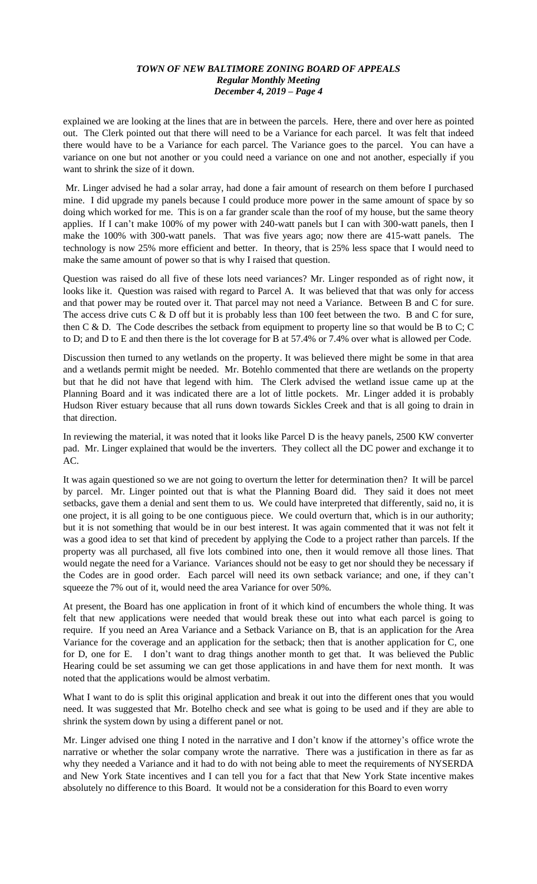explained we are looking at the lines that are in between the parcels. Here, there and over here as pointed out. The Clerk pointed out that there will need to be a Variance for each parcel. It was felt that indeed there would have to be a Variance for each parcel. The Variance goes to the parcel. You can have a variance on one but not another or you could need a variance on one and not another, especially if you want to shrink the size of it down.

Mr. Linger advised he had a solar array, had done a fair amount of research on them before I purchased mine. I did upgrade my panels because I could produce more power in the same amount of space by so doing which worked for me. This is on a far grander scale than the roof of my house, but the same theory applies. If I can't make 100% of my power with 240-watt panels but I can with 300-watt panels, then I make the 100% with 300-watt panels. That was five years ago; now there are 415-watt panels. The technology is now 25% more efficient and better. In theory, that is 25% less space that I would need to make the same amount of power so that is why I raised that question.

Question was raised do all five of these lots need variances? Mr. Linger responded as of right now, it looks like it. Question was raised with regard to Parcel A. It was believed that that was only for access and that power may be routed over it. That parcel may not need a Variance. Between B and C for sure. The access drive cuts C & D off but it is probably less than 100 feet between the two. B and C for sure, then C & D. The Code describes the setback from equipment to property line so that would be B to C; C to D; and D to E and then there is the lot coverage for B at 57.4% or 7.4% over what is allowed per Code.

Discussion then turned to any wetlands on the property. It was believed there might be some in that area and a wetlands permit might be needed. Mr. Botehlo commented that there are wetlands on the property but that he did not have that legend with him. The Clerk advised the wetland issue came up at the Planning Board and it was indicated there are a lot of little pockets. Mr. Linger added it is probably Hudson River estuary because that all runs down towards Sickles Creek and that is all going to drain in that direction.

In reviewing the material, it was noted that it looks like Parcel D is the heavy panels, 2500 KW converter pad. Mr. Linger explained that would be the inverters. They collect all the DC power and exchange it to  $AC$ .

It was again questioned so we are not going to overturn the letter for determination then? It will be parcel by parcel. Mr. Linger pointed out that is what the Planning Board did. They said it does not meet setbacks, gave them a denial and sent them to us. We could have interpreted that differently, said no, it is one project, it is all going to be one contiguous piece. We could overturn that, which is in our authority; but it is not something that would be in our best interest. It was again commented that it was not felt it was a good idea to set that kind of precedent by applying the Code to a project rather than parcels. If the property was all purchased, all five lots combined into one, then it would remove all those lines. That would negate the need for a Variance. Variances should not be easy to get nor should they be necessary if the Codes are in good order. Each parcel will need its own setback variance; and one, if they can't squeeze the 7% out of it, would need the area Variance for over 50%.

At present, the Board has one application in front of it which kind of encumbers the whole thing. It was felt that new applications were needed that would break these out into what each parcel is going to require. If you need an Area Variance and a Setback Variance on B, that is an application for the Area Variance for the coverage and an application for the setback; then that is another application for C, one for D, one for E. I don't want to drag things another month to get that. It was believed the Public Hearing could be set assuming we can get those applications in and have them for next month. It was noted that the applications would be almost verbatim.

What I want to do is split this original application and break it out into the different ones that you would need. It was suggested that Mr. Botelho check and see what is going to be used and if they are able to shrink the system down by using a different panel or not.

Mr. Linger advised one thing I noted in the narrative and I don't know if the attorney's office wrote the narrative or whether the solar company wrote the narrative. There was a justification in there as far as why they needed a Variance and it had to do with not being able to meet the requirements of NYSERDA and New York State incentives and I can tell you for a fact that that New York State incentive makes absolutely no difference to this Board. It would not be a consideration for this Board to even worry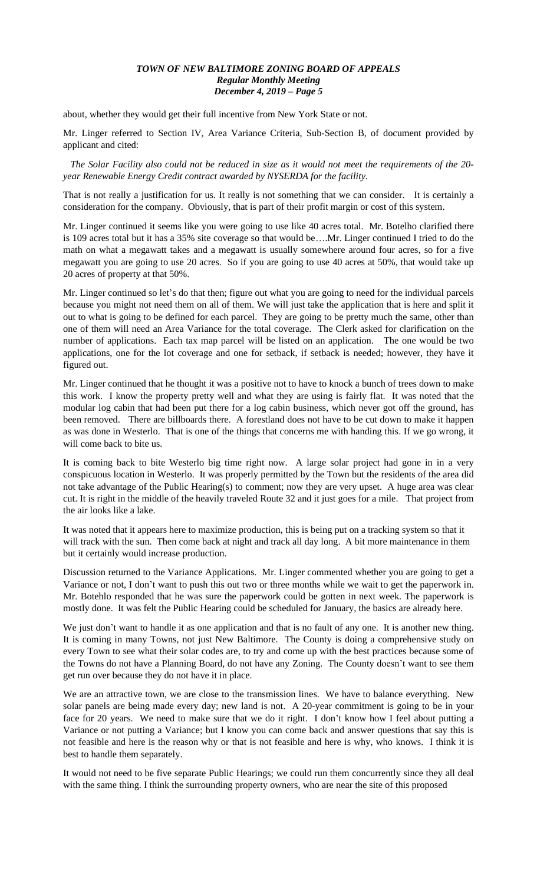about, whether they would get their full incentive from New York State or not.

Mr. Linger referred to Section IV, Area Variance Criteria, Sub-Section B, of document provided by applicant and cited:

 *The Solar Facility also could not be reduced in size as it would not meet the requirements of the 20 year Renewable Energy Credit contract awarded by NYSERDA for the facility.* 

That is not really a justification for us. It really is not something that we can consider. It is certainly a consideration for the company. Obviously, that is part of their profit margin or cost of this system.

Mr. Linger continued it seems like you were going to use like 40 acres total. Mr. Botelho clarified there is 109 acres total but it has a 35% site coverage so that would be….Mr. Linger continued I tried to do the math on what a megawatt takes and a megawatt is usually somewhere around four acres, so for a five megawatt you are going to use 20 acres. So if you are going to use 40 acres at 50%, that would take up 20 acres of property at that 50%.

Mr. Linger continued so let's do that then; figure out what you are going to need for the individual parcels because you might not need them on all of them. We will just take the application that is here and split it out to what is going to be defined for each parcel. They are going to be pretty much the same, other than one of them will need an Area Variance for the total coverage. The Clerk asked for clarification on the number of applications. Each tax map parcel will be listed on an application. The one would be two applications, one for the lot coverage and one for setback, if setback is needed; however, they have it figured out.

Mr. Linger continued that he thought it was a positive not to have to knock a bunch of trees down to make this work. I know the property pretty well and what they are using is fairly flat. It was noted that the modular log cabin that had been put there for a log cabin business, which never got off the ground, has been removed. There are billboards there. A forestland does not have to be cut down to make it happen as was done in Westerlo. That is one of the things that concerns me with handing this. If we go wrong, it will come back to bite us.

It is coming back to bite Westerlo big time right now. A large solar project had gone in in a very conspicuous location in Westerlo. It was properly permitted by the Town but the residents of the area did not take advantage of the Public Hearing(s) to comment; now they are very upset. A huge area was clear cut. It is right in the middle of the heavily traveled Route 32 and it just goes for a mile. That project from the air looks like a lake.

It was noted that it appears here to maximize production, this is being put on a tracking system so that it will track with the sun. Then come back at night and track all day long. A bit more maintenance in them but it certainly would increase production.

Discussion returned to the Variance Applications. Mr. Linger commented whether you are going to get a Variance or not, I don't want to push this out two or three months while we wait to get the paperwork in. Mr. Botehlo responded that he was sure the paperwork could be gotten in next week. The paperwork is mostly done. It was felt the Public Hearing could be scheduled for January, the basics are already here.

We just don't want to handle it as one application and that is no fault of any one. It is another new thing. It is coming in many Towns, not just New Baltimore. The County is doing a comprehensive study on every Town to see what their solar codes are, to try and come up with the best practices because some of the Towns do not have a Planning Board, do not have any Zoning. The County doesn't want to see them get run over because they do not have it in place.

We are an attractive town, we are close to the transmission lines. We have to balance everything. New solar panels are being made every day; new land is not. A 20-year commitment is going to be in your face for 20 years. We need to make sure that we do it right. I don't know how I feel about putting a Variance or not putting a Variance; but I know you can come back and answer questions that say this is not feasible and here is the reason why or that is not feasible and here is why, who knows. I think it is best to handle them separately.

It would not need to be five separate Public Hearings; we could run them concurrently since they all deal with the same thing. I think the surrounding property owners, who are near the site of this proposed